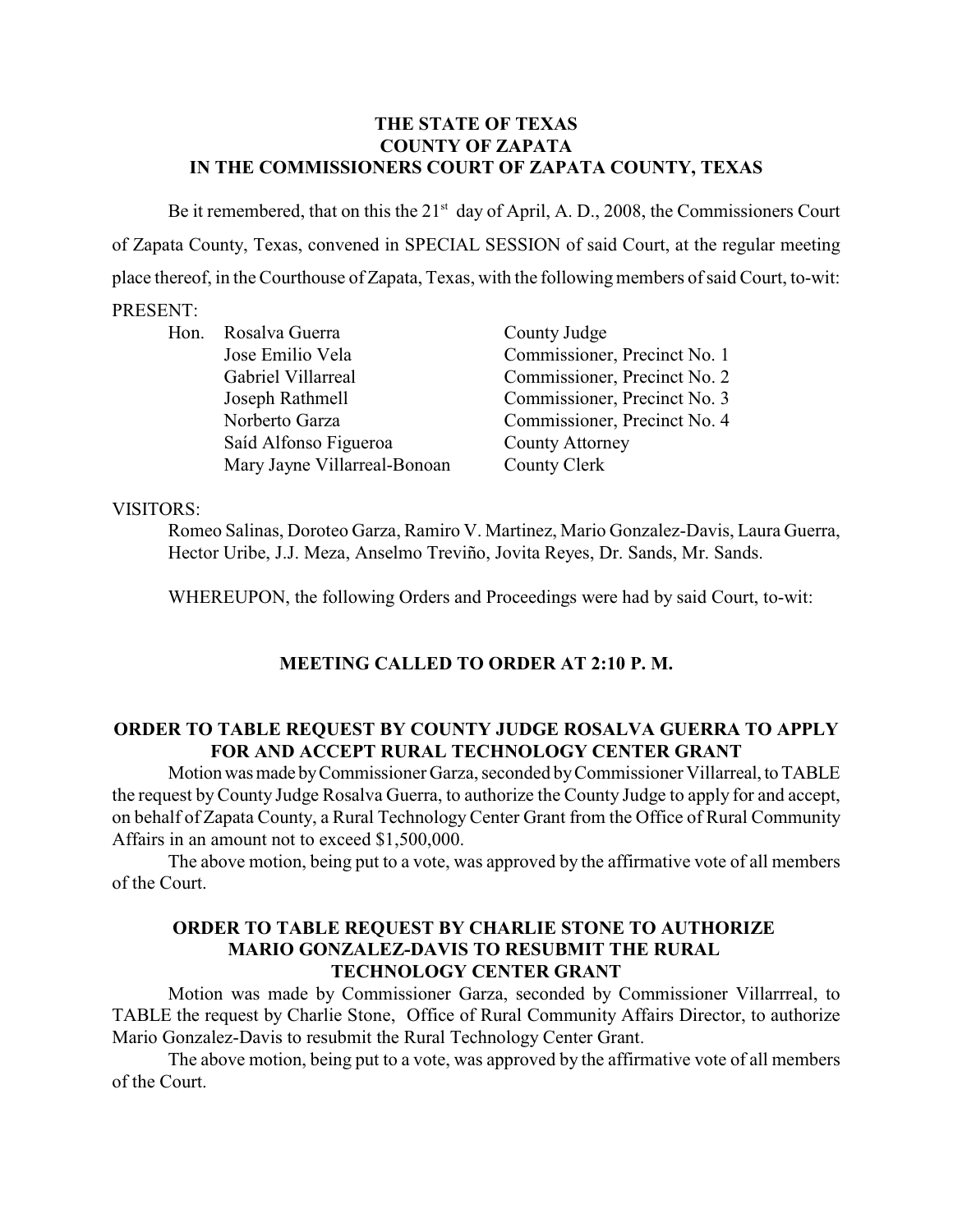## **THE STATE OF TEXAS COUNTY OF ZAPATA IN THE COMMISSIONERS COURT OF ZAPATA COUNTY, TEXAS**

Be it remembered, that on this the  $21<sup>st</sup>$  day of April, A. D., 2008, the Commissioners Court of Zapata County, Texas, convened in SPECIAL SESSION of said Court, at the regular meeting place thereof, in the Courthouse of Zapata, Texas, with the followingmembers ofsaid Court, to-wit:

# PRESENT:

| Hon. Rosalva Guerra          | County Judge                 |
|------------------------------|------------------------------|
| Jose Emilio Vela             | Commissioner, Precinct No. 1 |
| Gabriel Villarreal           | Commissioner, Precinct No. 2 |
| Joseph Rathmell              | Commissioner, Precinct No. 3 |
| Norberto Garza               | Commissioner, Precinct No. 4 |
| Saíd Alfonso Figueroa        | <b>County Attorney</b>       |
| Mary Jayne Villarreal-Bonoan | County Clerk                 |

### VISITORS:

Romeo Salinas, Doroteo Garza, Ramiro V. Martinez, Mario Gonzalez-Davis, Laura Guerra, Hector Uribe, J.J. Meza, Anselmo Treviño, Jovita Reyes, Dr. Sands, Mr. Sands.

WHEREUPON, the following Orders and Proceedings were had by said Court, to-wit:

# **MEETING CALLED TO ORDER AT 2:10 P. M.**

### **ORDER TO TABLE REQUEST BY COUNTY JUDGE ROSALVA GUERRA TO APPLY FOR AND ACCEPT RURAL TECHNOLOGY CENTER GRANT**

Motion was made by Commissioner Garza, seconded by Commissioner Villarreal, to TABLE the request by County Judge Rosalva Guerra, to authorize the County Judge to apply for and accept, on behalf of Zapata County, a Rural Technology Center Grant from the Office of Rural Community Affairs in an amount not to exceed \$1,500,000.

The above motion, being put to a vote, was approved by the affirmative vote of all members of the Court.

## **ORDER TO TABLE REQUEST BY CHARLIE STONE TO AUTHORIZE MARIO GONZALEZ-DAVIS TO RESUBMIT THE RURAL TECHNOLOGY CENTER GRANT**

Motion was made by Commissioner Garza, seconded by Commissioner Villarrreal, to TABLE the request by Charlie Stone, Office of Rural Community Affairs Director, to authorize Mario Gonzalez-Davis to resubmit the Rural Technology Center Grant.

The above motion, being put to a vote, was approved by the affirmative vote of all members of the Court.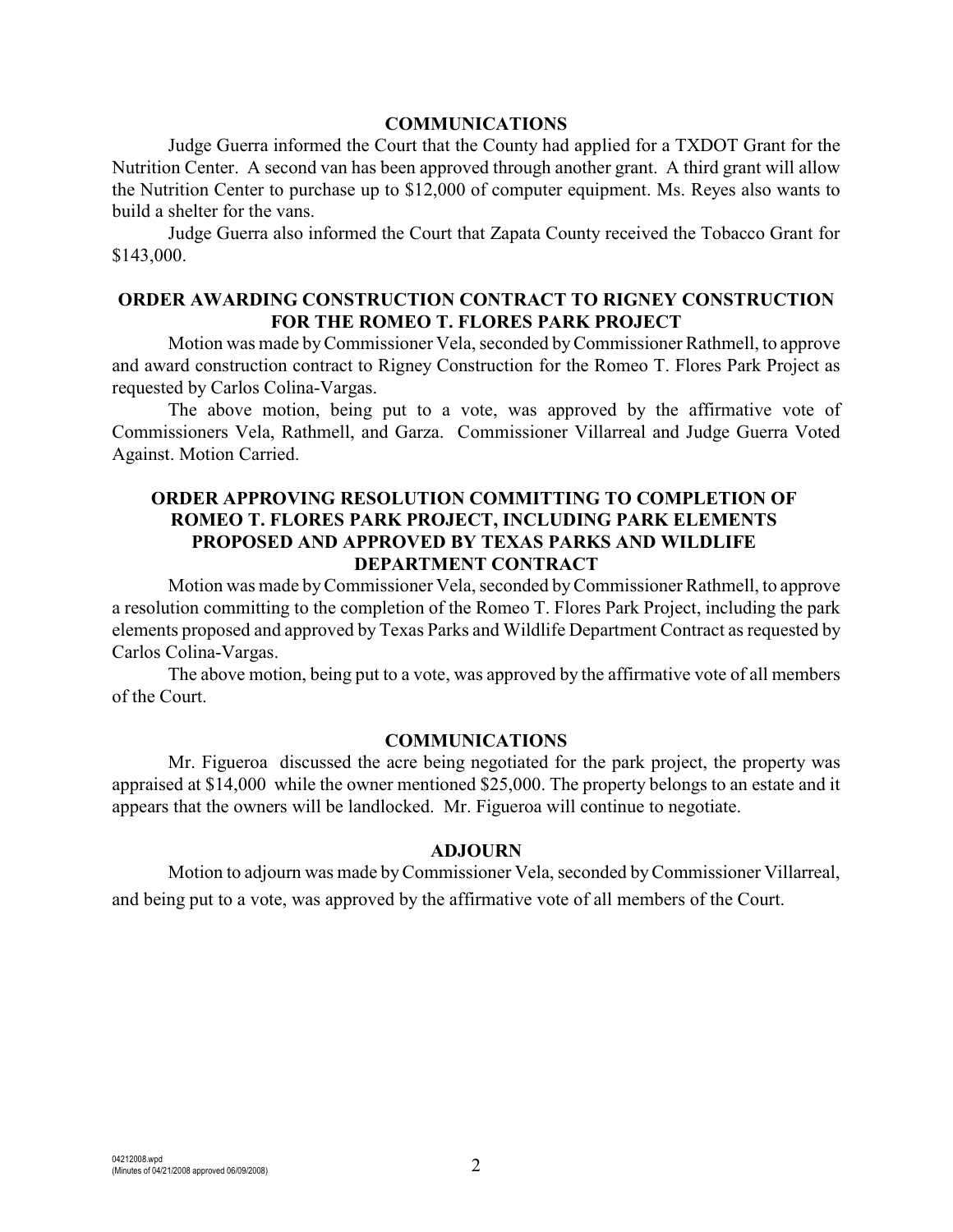#### **COMMUNICATIONS**

Judge Guerra informed the Court that the County had applied for a TXDOT Grant for the Nutrition Center. A second van has been approved through another grant. A third grant will allow the Nutrition Center to purchase up to \$12,000 of computer equipment. Ms. Reyes also wants to build a shelter for the vans.

Judge Guerra also informed the Court that Zapata County received the Tobacco Grant for \$143,000.

## **ORDER AWARDING CONSTRUCTION CONTRACT TO RIGNEY CONSTRUCTION FOR THE ROMEO T. FLORES PARK PROJECT**

Motion was made byCommissioner Vela, seconded byCommissioner Rathmell, to approve and award construction contract to Rigney Construction for the Romeo T. Flores Park Project as requested by Carlos Colina-Vargas.

The above motion, being put to a vote, was approved by the affirmative vote of Commissioners Vela, Rathmell, and Garza. Commissioner Villarreal and Judge Guerra Voted Against. Motion Carried.

## **ORDER APPROVING RESOLUTION COMMITTING TO COMPLETION OF ROMEO T. FLORES PARK PROJECT, INCLUDING PARK ELEMENTS PROPOSED AND APPROVED BY TEXAS PARKS AND WILDLIFE DEPARTMENT CONTRACT**

Motion was made byCommissioner Vela, seconded byCommissioner Rathmell, to approve a resolution committing to the completion of the Romeo T. Flores Park Project, including the park elements proposed and approved by Texas Parks and Wildlife Department Contract as requested by Carlos Colina-Vargas.

The above motion, being put to a vote, was approved by the affirmative vote of all members of the Court.

#### **COMMUNICATIONS**

Mr. Figueroa discussed the acre being negotiated for the park project, the property was appraised at \$14,000 while the owner mentioned \$25,000. The property belongs to an estate and it appears that the owners will be landlocked. Mr. Figueroa will continue to negotiate.

#### **ADJOURN**

Motion to adjourn was made by Commissioner Vela, seconded by Commissioner Villarreal, and being put to a vote, was approved by the affirmative vote of all members of the Court.